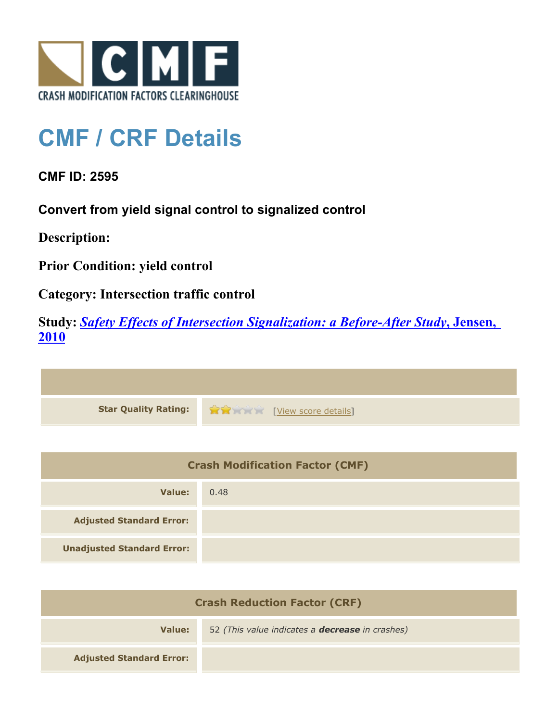

## **CMF / CRF Details**

**CMF ID: 2595**

**Convert from yield signal control to signalized control**

**Description:** 

**Prior Condition: yield control**

**Category: Intersection traffic control**

**Study:** *[Safety Effects of Intersection Signalization: a Before-After Study](http://www.cmfclearinghouse.org/study_detail.cfm?stid=170)***[, Jensen,](http://www.cmfclearinghouse.org/study_detail.cfm?stid=170) [2010](http://www.cmfclearinghouse.org/study_detail.cfm?stid=170)**



| <b>Crash Modification Factor (CMF)</b> |      |
|----------------------------------------|------|
| Value:                                 | 0.48 |
| <b>Adjusted Standard Error:</b>        |      |
| <b>Unadjusted Standard Error:</b>      |      |

| <b>Crash Reduction Factor (CRF)</b> |                                                        |
|-------------------------------------|--------------------------------------------------------|
| Value:                              | 52 (This value indicates a <b>decrease</b> in crashes) |
| <b>Adjusted Standard Error:</b>     |                                                        |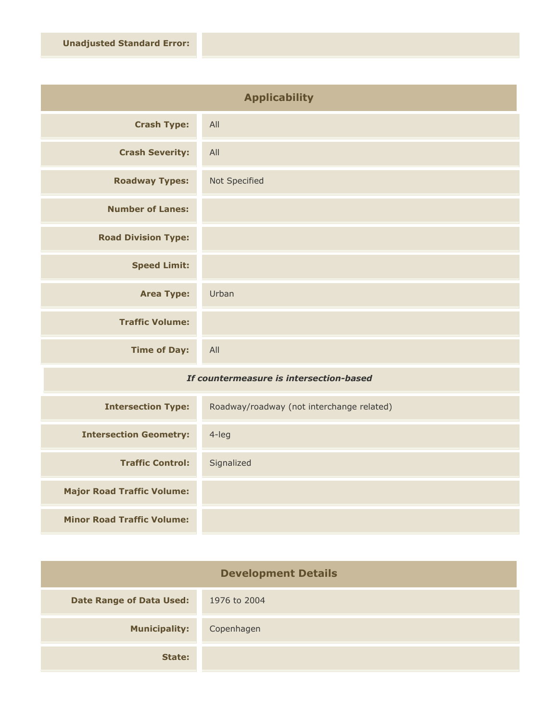| <b>Applicability</b>       |               |
|----------------------------|---------------|
| <b>Crash Type:</b>         | All           |
| <b>Crash Severity:</b>     | All           |
| <b>Roadway Types:</b>      | Not Specified |
| <b>Number of Lanes:</b>    |               |
| <b>Road Division Type:</b> |               |
| <b>Speed Limit:</b>        |               |
| <b>Area Type:</b>          | Urban         |
| <b>Traffic Volume:</b>     |               |
| <b>Time of Day:</b>        | All           |

## *If countermeasure is intersection-based*

| <b>Intersection Type:</b>         | Roadway/roadway (not interchange related) |
|-----------------------------------|-------------------------------------------|
| <b>Intersection Geometry:</b>     | $4$ -leg                                  |
| <b>Traffic Control:</b>           | Signalized                                |
| <b>Major Road Traffic Volume:</b> |                                           |
| <b>Minor Road Traffic Volume:</b> |                                           |

| <b>Development Details</b>      |              |
|---------------------------------|--------------|
| <b>Date Range of Data Used:</b> | 1976 to 2004 |
| <b>Municipality:</b>            | Copenhagen   |
| State:                          |              |